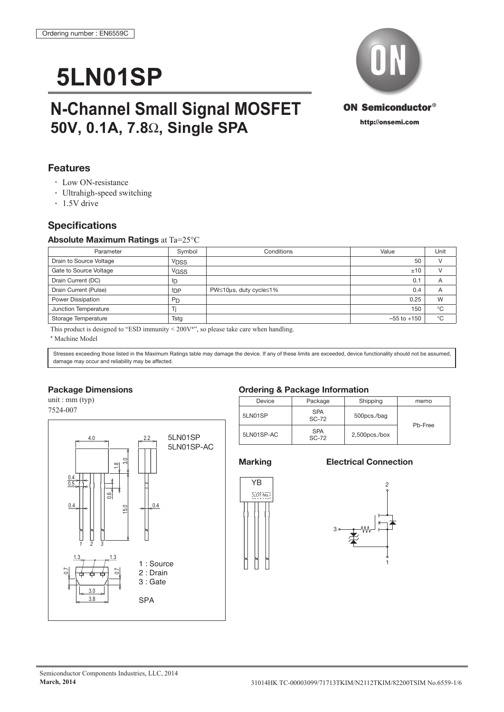# **5LN01SP**

## **N-Channel Small Signal MOSFET 50V, 0.1A, 7.8**Ω**, Single SPA**

### **Features**

- Low ON-resistance
- Ultrahigh-speed switching
- 1.5V drive

### **Specifications**

### **Absolute Maximum Ratings** at Ta=25°C

| Parameter               | Symbol         | Conditions             | Value           | Unit           |
|-------------------------|----------------|------------------------|-----------------|----------------|
| Drain to Source Voltage | <b>VDSS</b>    |                        | 50              |                |
| Gate to Source Voltage  | <b>VGSS</b>    |                        | ±10             |                |
| Drain Current (DC)      | ID             |                        | 0.1             | $\overline{A}$ |
| Drain Current (Pulse)   | $_{\text{DP}}$ | PW≤10µs, duty cycle≤1% | 0.4             |                |
| Power Dissipation       | <b>PD</b>      |                        | 0.25            | W              |
| Junction Temperature    |                |                        | 150             | °C             |
| Storage Temperature     | Tstg           |                        | $-55$ to $+150$ | °C             |

This product is designed to "ESD immunity  $\leq 200V^*$ ", so please take care when handling.

\* Machine Model

Stresses exceeding those listed in the Maximum Ratings table may damage the device. If any of these limits are exceeded, device functionality should not be assumed, damage may occur and reliability may be affected.

### **Package Dimensions**

unit : mm (typ) 7524-007



### **Ordering & Package Information**

| Device     | Package                    | Shipping         | memo    |  |
|------------|----------------------------|------------------|---------|--|
| 5LN01SP    | <b>SPA</b><br><b>SC-72</b> | 500pcs./bag      | Pb-Free |  |
| 5LN01SP-AC | <b>SPA</b><br><b>SC-72</b> | $2,500$ pcs./box |         |  |

### **Marking Electrical Connection**



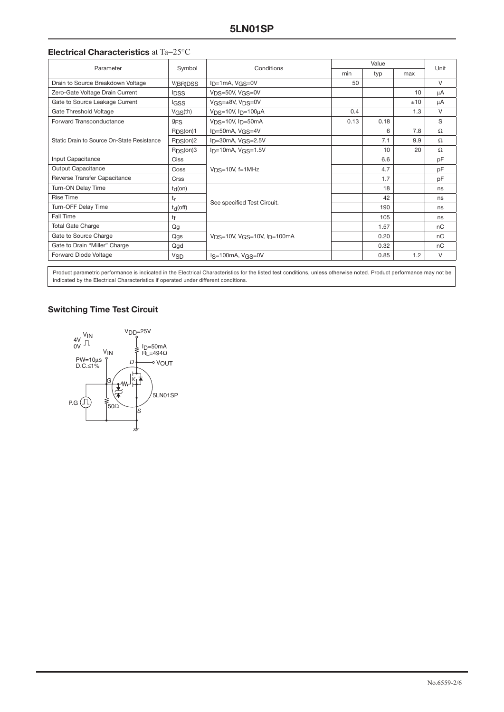### **Electrical Characteristics** at Ta=25°C

| Parameter                                  | Symbol                   | Conditions                                   | Value |      |     | Unit |
|--------------------------------------------|--------------------------|----------------------------------------------|-------|------|-----|------|
|                                            |                          |                                              | min   | typ  | max |      |
| Drain to Source Breakdown Voltage          | V <sub>(BR)</sub> DSS    | $I_D=1mA, VGS=0V$                            | 50    |      |     | V    |
| Zero-Gate Voltage Drain Current            | <b>IDSS</b>              | VDS=50V, VGS=0V                              |       |      | 10  | μA   |
| Gate to Source Leakage Current             | <b>IGSS</b>              | VGS=±8V, VDS=0V                              |       |      | ±10 | μA   |
| Gate Threshold Voltage                     | $V$ <sub>GS</sub> $(th)$ | $VDS=10V$ , $I_D=100\mu A$                   | 0.4   |      | 1.3 | V    |
| Forward Transconductance                   | 9 <sub>FS</sub>          | $VDS=10V$ , $I_D=50mA$                       | 0.13  | 0.18 |     | S    |
| Static Drain to Source On-State Resistance | R <sub>DS</sub> (on)1    | $ID=50mA, VGS=4V$                            |       | 6    | 7.8 | Ω    |
|                                            | RDS(0n)2                 | $I_D = 30mA, VGS = 2.5V$                     |       | 7.1  | 9.9 | Ω    |
|                                            | RDS(0n)3                 | $ID=10mA, VGS=1.5V$                          |       | 10   | 20  | Ω    |
| Input Capacitance                          | Ciss                     | $VDS=10V$ , f=1MHz                           |       | 6.6  |     | pF   |
| Output Capacitance                         | Coss                     |                                              |       | 4.7  |     | pF   |
| Reverse Transfer Capacitance               | Crss                     |                                              |       | 1.7  |     | pF   |
| Turn-ON Delay Time                         | $t_d($ on $)$            | See specified Test Circuit.                  |       | 18   |     | ns   |
| <b>Rise Time</b>                           | tr                       |                                              |       | 42   |     | ns   |
| Turn-OFF Delay Time                        | $t_d$ (off)              |                                              |       | 190  |     | ns   |
| Fall Time                                  | tf                       |                                              |       | 105  |     | ns   |
| <b>Total Gate Charge</b>                   | Qg                       | $V_{DS}$ =10V, $V_{GS}$ =10V, $I_{D}$ =100mA |       | 1.57 |     | nC   |
| Gate to Source Charge                      | Qgs                      |                                              |       | 0.20 |     | nC   |
| Gate to Drain "Miller" Charge              | Qgd                      |                                              |       | 0.32 |     | пC   |
| Forward Diode Voltage                      | <b>V<sub>SD</sub></b>    | $Is=100mA, VGS=0V$                           |       | 0.85 | 1.2 | V    |

Product parametric performance is indicated in the Electrical Characteristics for the listed test conditions, unless otherwise noted. Product performance may not be indicated by the Electrical Characteristics if operated under different conditions.

### **Switching Time Test Circuit**

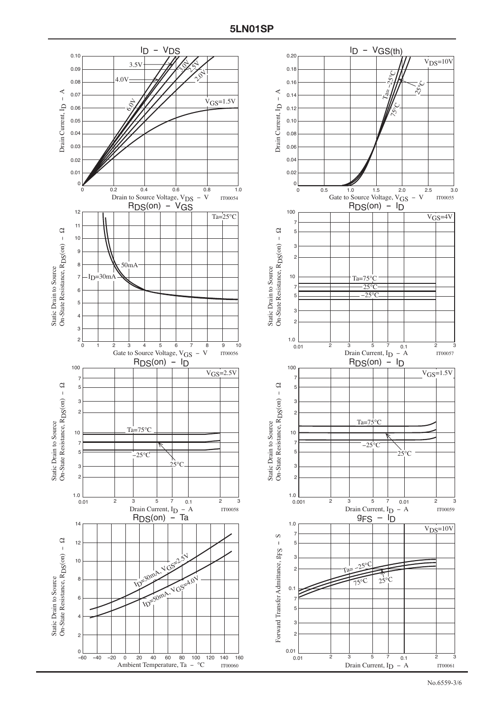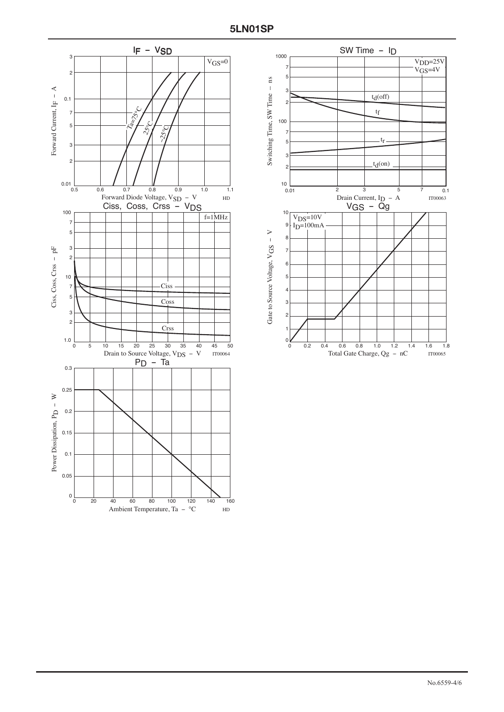

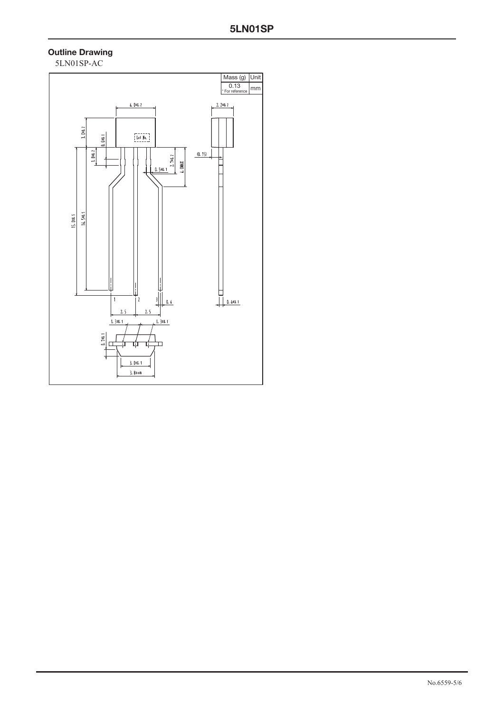### **Outline Drawing**